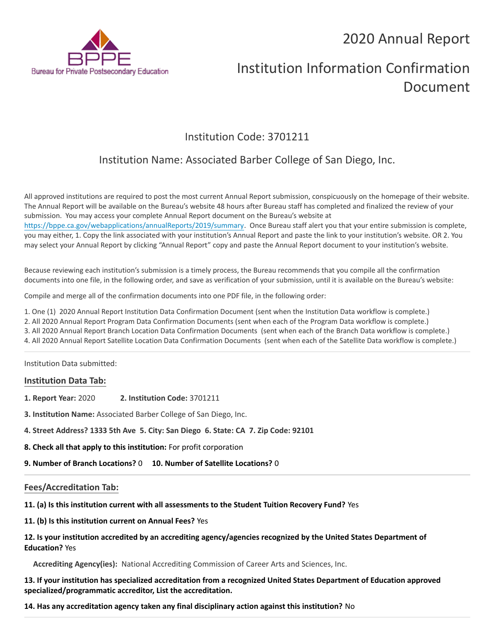# 2020 Annual Report



# Institution Information Confirmation Document

# Institution Code: 3701211

# Institution Name: Associated Barber College of San Diego, Inc.

All approved institutions are required to post the most current Annual Report submission, conspicuously on the homepage of their website. The Annual Report will be available on the Bureau's website 48 hours after Bureau staff has completed and finalized the review of your submission. You may access your complete Annual Report document on the Bureau's website at <https://bppe.ca.gov/webapplications/annualReports/2019/summary>. Once Bureau staff alert you that your entire submission is complete, you may either, 1. Copy the link associated with your institution's Annual Report and paste the link to your institution's website. OR 2. You may select your Annual Report by clicking "Annual Report" copy and paste the Annual Report document to your institution's website.

Because reviewing each institution's submission is a timely process, the Bureau recommends that you compile all the confirmation documents into one file, in the following order, and save as verification of your submission, until it is available on the Bureau's website:

Compile and merge all of the confirmation documents into one PDF file, in the following order:

1. One (1) 2020 Annual Report Institution Data Confirmation Document (sent when the Institution Data workflow is complete.)

2. All 2020 Annual Report Program Data Confirmation Documents (sent when each of the Program Data workflow is complete.)

3. All 2020 Annual Report Branch Location Data Confirmation Documents (sent when each of the Branch Data workflow is complete.)

4. All 2020 Annual Report Satellite Location Data Confirmation Documents (sent when each of the Satellite Data workflow is complete.)

Institution Data submitted:

#### **Institution Data Tab:**

**1. Report Year:** 2020 **2. Institution Code:** 3701211

**3. Institution Name:** Associated Barber College of San Diego, Inc.

**4. Street Address? 1333 5th Ave 5. City: San Diego 6. State: CA 7. Zip Code: 92101**

**8. Check all that apply to this institution:** For profit corporation

**9. Number of Branch Locations?** 0 **10. Number of Satellite Locations?** 0

## **Fees/Accreditation Tab:**

**11. (a) Is this institution current with all assessments to the Student Tuition Recovery Fund?** Yes

**11. (b) Is this institution current on Annual Fees?** Yes

### **12. Is your institution accredited by an accrediting agency/agencies recognized by the United States Department of Education?** Yes

**Accrediting Agency(ies):** National Accrediting Commission of Career Arts and Sciences, Inc.

**13. If your institution has specialized accreditation from a recognized United States Department of Education approved specialized/programmatic accreditor, List the accreditation.**

**14. Has any accreditation agency taken any final disciplinary action against this institution?** No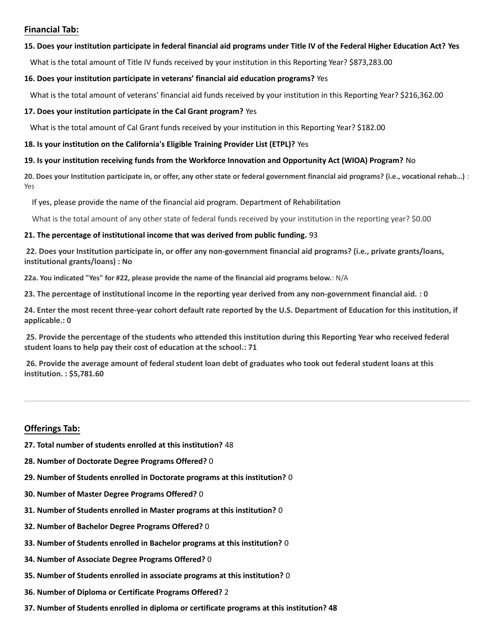#### **Financial Tab:**

#### **15. Does your institution participate in federal financial aid programs under Title IV of the Federal Higher Education Act? Yes**

What is the total amount of Title IV funds received by your institution in this Reporting Year? \$873,283.00

#### **16. Does your institution participate in veterans' financial aid education programs?** Yes

What is the total amount of veterans' financial aid funds received by your institution in this Reporting Year? \$216,362.00

#### **17. Does your institution participate in the Cal Grant program?** Yes

What is the total amount of Cal Grant funds received by your institution in this Reporting Year? \$182.00

#### **18. Is your institution on the California's Eligible Training Provider List (ETPL)?** Yes

#### **19. Is your institution receiving funds from the Workforce Innovation and Opportunity Act (WIOA) Program?** No

**20. Does your Institution participate in, or offer, any other state or federal government financial aid programs? (i.e., vocational rehab…)** : Yes

If yes, please provide the name of the financial aid program. Department of Rehabilitation

What is the total amount of any other state of federal funds received by your institution in the reporting year? \$0.00

#### **21. The percentage of institutional income that was derived from public funding.** 93

**22. Does your Institution participate in, or offer any non-government financial aid programs? (i.e., private grants/loans, institutional grants/loans) : No**

**22a. You indicated "Yes" for #22, please provide the name of the financial aid programs below.**: N/A

**23. The percentage of institutional income in the reporting year derived from any non-government financial aid. : 0**

**24. Enter the most recent three-year cohort default rate reported by the U.S. Department of Education for this institution, if applicable.: 0**

**25. Provide the percentage of the students who attended this institution during this Reporting Year who received federal student loans to help pay their cost of education at the school.: 71**

**26. Provide the average amount of federal student loan debt of graduates who took out federal student loans at this institution. : \$5,781.60**

### **Offerings Tab:**

- **27. Total number of students enrolled at this institution?** 48
- **28. Number of Doctorate Degree Programs Offered?** 0
- **29. Number of Students enrolled in Doctorate programs at this institution?** 0
- **30. Number of Master Degree Programs Offered?** 0
- **31. Number of Students enrolled in Master programs at this institution?** 0
- **32. Number of Bachelor Degree Programs Offered?** 0
- **33. Number of Students enrolled in Bachelor programs at this institution?** 0
- **34. Number of Associate Degree Programs Offered?** 0
- **35. Number of Students enrolled in associate programs at this institution?** 0
- **36. Number of Diploma or Certificate Programs Offered?** 2
- **37. Number of Students enrolled in diploma or certificate programs at this institution? 48**